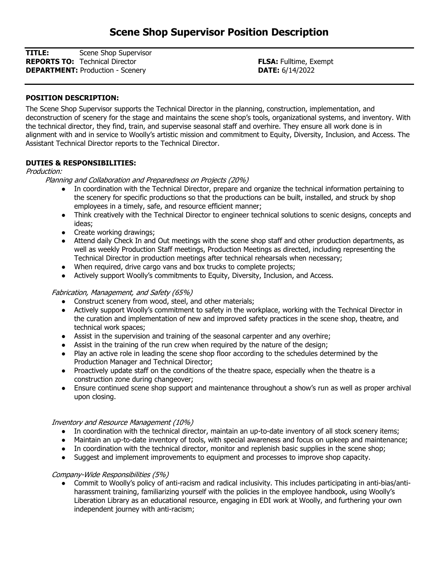TITLE: Scene Shop Supervisor **REPORTS TO:** Technical Director **FLSA:** Fulltime, Exempt **DEPARTMENT:** Production - Scenery **DEPARTMENT:** Production - Scenery

## POSITION DESCRIPTION:

The Scene Shop Supervisor supports the Technical Director in the planning, construction, implementation, and deconstruction of scenery for the stage and maintains the scene shop's tools, organizational systems, and inventory. With the technical director, they find, train, and supervise seasonal staff and overhire. They ensure all work done is in alignment with and in service to Woolly's artistic mission and commitment to Equity, Diversity, Inclusion, and Access. The Assistant Technical Director reports to the Technical Director.

### DUTIES & RESPONSIBILITIES:

Production:

### Planning and Collaboration and Preparedness on Projects (20%)

- In coordination with the Technical Director, prepare and organize the technical information pertaining to the scenery for specific productions so that the productions can be built, installed, and struck by shop employees in a timely, safe, and resource efficient manner;
- Think creatively with the Technical Director to engineer technical solutions to scenic designs, concepts and ideas;
- Create working drawings;
- Attend daily Check In and Out meetings with the scene shop staff and other production departments, as well as weekly Production Staff meetings, Production Meetings as directed, including representing the Technical Director in production meetings after technical rehearsals when necessary;
- When required, drive cargo vans and box trucks to complete projects;
- Actively support Woolly's commitments to Equity, Diversity, Inclusion, and Access.

# Fabrication, Management, and Safety (65%)

- Construct scenery from wood, steel, and other materials;
- Actively support Woolly's commitment to safety in the workplace, working with the Technical Director in the curation and implementation of new and improved safety practices in the scene shop, theatre, and technical work spaces;
- Assist in the supervision and training of the seasonal carpenter and any overhire;
- Assist in the training of the run crew when required by the nature of the design;
- Play an active role in leading the scene shop floor according to the schedules determined by the Production Manager and Technical Director;
- Proactively update staff on the conditions of the theatre space, especially when the theatre is a construction zone during changeover;
- Ensure continued scene shop support and maintenance throughout a show's run as well as proper archival upon closing.

#### Inventory and Resource Management (10%)

- In coordination with the technical director, maintain an up-to-date inventory of all stock scenery items;
- Maintain an up-to-date inventory of tools, with special awareness and focus on upkeep and maintenance;
- In coordination with the technical director, monitor and replenish basic supplies in the scene shop;
- Suggest and implement improvements to equipment and processes to improve shop capacity.

#### Company-Wide Responsibilities (5%)

● Commit to Woolly's policy of anti-racism and radical inclusivity. This includes participating in anti-bias/antiharassment training, familiarizing yourself with the policies in the employee handbook, using Woolly's Liberation Library as an educational resource, engaging in EDI work at Woolly, and furthering your own independent journey with anti-racism;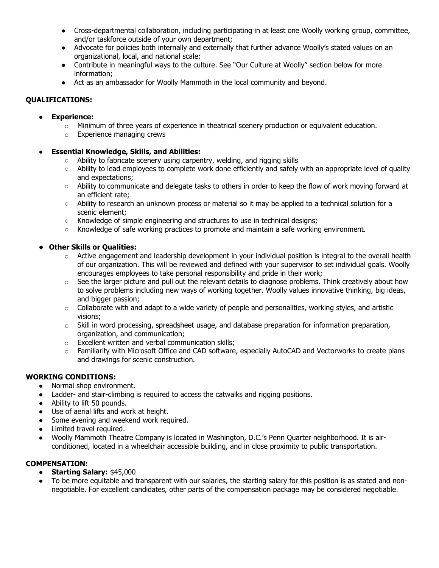- Cross-departmental collaboration, including participating in at least one Woolly working group, committee, and/or taskforce outside of your own department;
- Advocate for policies both internally and externally that further advance Woolly's stated values on an organizational, local, and national scale;
- Contribute in meaningful ways to the culture. See "Our Culture at Woolly" section below for more information;
- Act as an ambassador for Woolly Mammoth in the local community and beyond.

## QUALIFICATIONS:

- Experience:
	- $\circ$  Minimum of three years of experience in theatrical scenery production or equivalent education.
	- o Experience managing crews
- **Essential Knowledge, Skills, and Abilities:** 
	- Ability to fabricate scenery using carpentry, welding, and rigging skills
	- Ability to lead employees to complete work done efficiently and safely with an appropriate level of quality and expectations;
	- Ability to communicate and delegate tasks to others in order to keep the flow of work moving forward at an efficient rate;
	- Ability to research an unknown process or material so it may be applied to a technical solution for a scenic element;
	- Knowledge of simple engineering and structures to use in technical designs;
	- Knowledge of safe working practices to promote and maintain a safe working environment.

### ● Other Skills or Qualities:

- $\circ$  Active engagement and leadership development in your individual position is integral to the overall health of our organization. This will be reviewed and defined with your supervisor to set individual goals. Woolly encourages employees to take personal responsibility and pride in their work;
- $\circ$  See the larger picture and pull out the relevant details to diagnose problems. Think creatively about how to solve problems including new ways of working together. Woolly values innovative thinking, big ideas, and bigger passion:
- $\circ$  Collaborate with and adapt to a wide variety of people and personalities, working styles, and artistic visions;
- $\circ$  Skill in word processing, spreadsheet usage, and database preparation for information preparation, organization, and communication;
- o Excellent written and verbal communication skills;
- o Familiarity with Microsoft Office and CAD software, especially AutoCAD and Vectorworks to create plans and drawings for scenic construction.

# WORKING CONDITIONS:

- Normal shop environment.
- Ladder- and stair-climbing is required to access the catwalks and rigging positions.
- Ability to lift 50 pounds.
- Use of aerial lifts and work at height.
- Some evening and weekend work required.
- Limited travel required.
- Woolly Mammoth Theatre Company is located in Washington, D.C.'s Penn Quarter neighborhood. It is airconditioned, located in a wheelchair accessible building, and in close proximity to public transportation.

# COMPENSATION:

- Starting Salary: \$45,000
- To be more equitable and transparent with our salaries, the starting salary for this position is as stated and nonnegotiable. For excellent candidates, other parts of the compensation package may be considered negotiable.